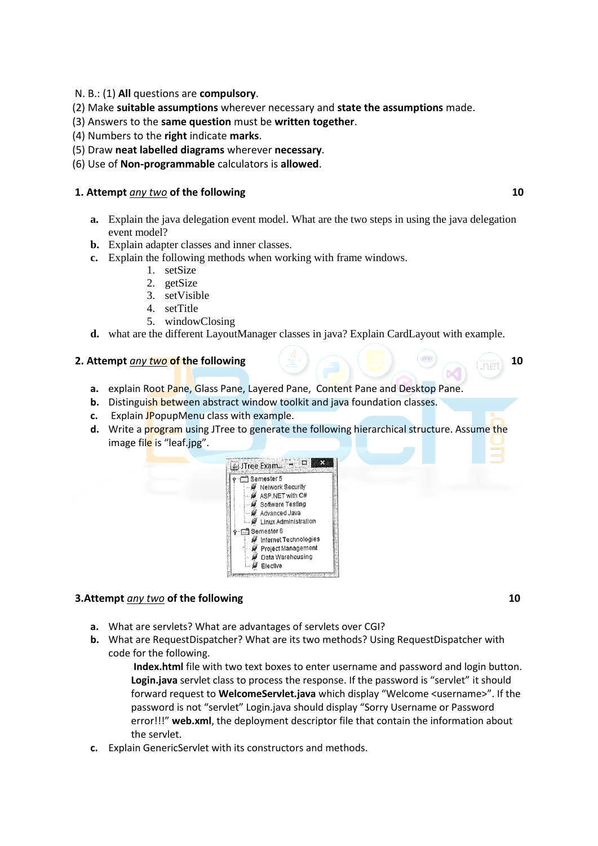- N. B.: (1) **All** questions are **compulsory**.
- (2) Make **suitable assumptions** wherever necessary and **state the assumptions** made.
- (3) Answers to the **same question** must be **written together**.
- (4) Numbers to the **right** indicate **marks**.
- (5) Draw **neat labelled diagrams** wherever **necessary**.
- (6) Use of **Non-programmable** calculators is **allowed**.

### **1.** Attempt *any two* of the following 10

- **a.** Explain the java delegation event model. What are the two steps in using the java delegation event model?
- **b.** Explain adapter classes and inner classes.
- **c.** Explain the following methods when working with frame windows.
	- 1. setSize
	- 2. getSize
	- 3. setVisible
	- 4. setTitle
	- 5. windowClosing
- **d.** what are the different LayoutManager classes in java? Explain CardLayout with example.

## **2.** Attempt *any two* of the following  $\leftarrow$  10

- **a.** explain Root Pane, Glass Pane, Layered Pane, Content Pane and Desktop Pane.
- **b.** Distinguish between abstract window toolkit and java foundation classes.
- **c.** Explain JPopupMenu class with example.
- **d.** Write a program using JTree to generate the following hierarchical structure. Assume the image file is "leaf.jpg".



# **3.Attempt** *any two* **of the following 10 10**

- **a.** What are servlets? What are advantages of servlets over CGI?
- **b.** What are RequestDispatcher? What are its two methods? Using RequestDispatcher with code for the following.

**Index.html** file with two text boxes to enter username and password and login button. **Login.java** servlet class to process the response. If the password is "servlet" it should forward request to **WelcomeServlet.java** which display "Welcome <username>". If the password is not "servlet" Login.java should display "Sorry Username or Password error!!!" **web.xml**, the deployment descriptor file that contain the information about the servlet.

**c.** Explain GenericServlet with its constructors and methods.